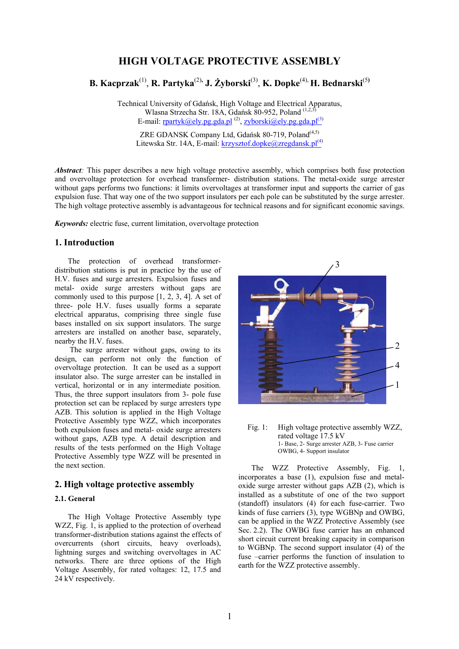# **HIGH VOLTAGE PROTECTIVE ASSEMBLY**

**B. Kacprzak**(1) , **R. Partyka**(2)**, J. Żyborski**(3) , **K. Dopke**(4), **H. Bednarski**(5**)** 

Technical University of Gdańsk, High Voltage and Electrical Apparatus, Wlasna Strzecha Str. 18A, Gdańsk 80-952, Poland <sup>(1,2,3)</sup> E-mail: rpartyk@ely.pg.gda.pl<sup>(2)</sup>, zyborski@ely.pg.gda.pl<sup>(3)</sup>

ZRE GDANSK Company Ltd, Gdańsk 80-719, Poland<sup>(4,5)</sup> Litewska Str. 14A, E-mail: krzysztof.dopke@zregdansk.pl<sup>(4)</sup>

*Abstract*: This paper describes a new high voltage protective assembly, which comprises both fuse protection and overvoltage protection for overhead transformer- distribution stations. The metal-oxide surge arrester without gaps performs two functions: it limits overvoltages at transformer input and supports the carrier of gas expulsion fuse. That way one of the two support insulators per each pole can be substituted by the surge arrester. The high voltage protective assembly is advantageous for technical reasons and for significant economic savings.

*Keywords:* electric fuse, current limitation, overvoltage protection

### **1. Introduction**

The protection of overhead transformerdistribution stations is put in practice by the use of H.V. fuses and surge arresters. Expulsion fuses and metal- oxide surge arresters without gaps are commonly used to this purpose [1, 2, 3, 4]. A set of three- pole H.V. fuses usually forms a separate electrical apparatus, comprising three single fuse bases installed on six support insulators. The surge arresters are installed on another base, separately, nearby the H.V. fuses.

 The surge arrester without gaps, owing to its design, can perform not only the function of overvoltage protection. It can be used as a support insulator also. The surge arrester can be installed in vertical, horizontal or in any intermediate position. Thus, the three support insulators from 3- pole fuse protection set can be replaced by surge arresters type AZB. This solution is applied in the High Voltage Protective Assembly type WZZ, which incorporates both expulsion fuses and metal- oxide surge arresters without gaps, AZB type. A detail description and results of the tests performed on the High Voltage Protective Assembly type WZZ will be presented in the next section.

### **2. High voltage protective assembly**

#### **2.1. General**

The High Voltage Protective Assembly type WZZ, Fig. 1, is applied to the protection of overhead transformer-distribution stations against the effects of overcurrents (short circuits, heavy overloads), lightning surges and switching overvoltages in AC networks. There are three options of the High Voltage Assembly, for rated voltages: 12, 17.5 and 24 kV respectively.



Fig. 1: High voltage protective assembly WZZ, rated voltage 17.5 kV 1- Base, 2- Surge arrester AZB, 3- Fuse carrier OWBG, 4- Support insulator

The WZZ Protective Assembly, Fig. 1, incorporates a base (1), expulsion fuse and metaloxide surge arrester without gaps AZB (2), which is installed as a substitute of one of the two support (standoff) insulators (4) for each fuse-carrier. Two kinds of fuse carriers (3), type WGBNp and OWBG, can be applied in the WZZ Protective Assembly (see Sec. 2.2). The OWBG fuse carrier has an enhanced short circuit current breaking capacity in comparison to WGBNp. The second support insulator (4) of the fuse –carrier performs the function of insulation to earth for the WZZ protective assembly.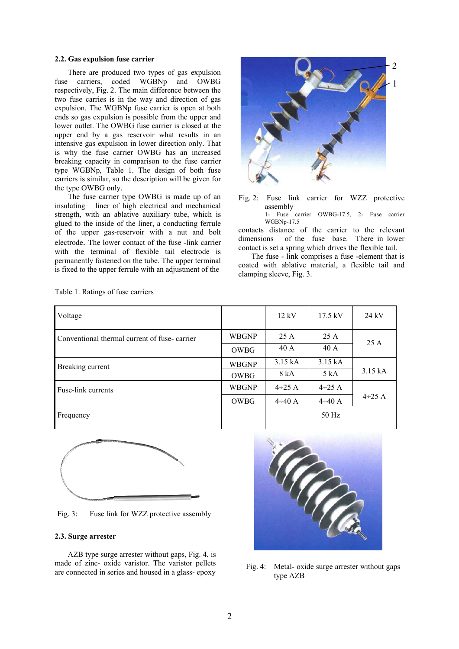#### **2.2. Gas expulsion fuse carrier**

There are produced two types of gas expulsion fuse carriers, coded WGBNp and OWBG respectively, Fig. 2. The main difference between the two fuse carries is in the way and direction of gas expulsion. The WGBNp fuse carrier is open at both ends so gas expulsion is possible from the upper and lower outlet. The OWBG fuse carrier is closed at the upper end by a gas reservoir what results in an intensive gas expulsion in lower direction only. That is why the fuse carrier OWBG has an increased breaking capacity in comparison to the fuse carrier type WGBNp, Table 1. The design of both fuse carriers is similar, so the description will be given for the type OWBG only.

The fuse carrier type OWBG is made up of an insulating liner of high electrical and mechanical strength, with an ablative auxiliary tube, which is glued to the inside of the liner, a conducting ferrule of the upper gas-reservoir with a nut and bolt electrode. The lower contact of the fuse -link carrier with the terminal of flexible tail electrode is permanently fastened on the tube. The upper terminal is fixed to the upper ferrule with an adjustment of the



- Fig. 2: Fuse link carrier for WZZ protective assembly
	- 1- Fuse carrier OWBG-17.5, 2- Fuse carrier WGBNp-17.5

contacts distance of the carrier to the relevant dimensions of the fuse base. There in lower contact is set a spring which drives the flexible tail.

The fuse - link comprises a fuse -element that is coated with ablative material, a flexible tail and clamping sleeve, Fig. 3.

| Voltage                                      |              | 12 kV         | $17.5$ kV     | $24$ kV      |
|----------------------------------------------|--------------|---------------|---------------|--------------|
| Conventional thermal current of fuse-carrier | <b>WBGNP</b> | 25 A          | 25 A          |              |
|                                              | OWBG         | 40 A          | 40 A          | 25A          |
| Breaking current                             | <b>WBGNP</b> | 3.15 kA       | 3.15 kA       |              |
|                                              | OWBG         | 8 kA          | 5 kA          | 3.15 kA      |
| Fuse-link currents                           | <b>WBGNP</b> | $4 \div 25$ A | $4 \div 25$ A |              |
|                                              | OWBG         | $4 \div 40$ A | $4 \div 40$ A | $4\div 25$ A |
| Frequency                                    |              |               | 50 Hz         |              |





Fig. 3: Fuse link for WZZ protective assembly

### **2.3. Surge arrester**

AZB type surge arrester without gaps, Fig. 4, is made of zinc- oxide varistor. The varistor pellets made of zinc- oxide varistor. The varistor penets<br>are connected in series and housed in a glass- epoxy<br> $\frac{1}{2}$  Fig. 4: Metal- oxide surge arrester without gaps



type AZB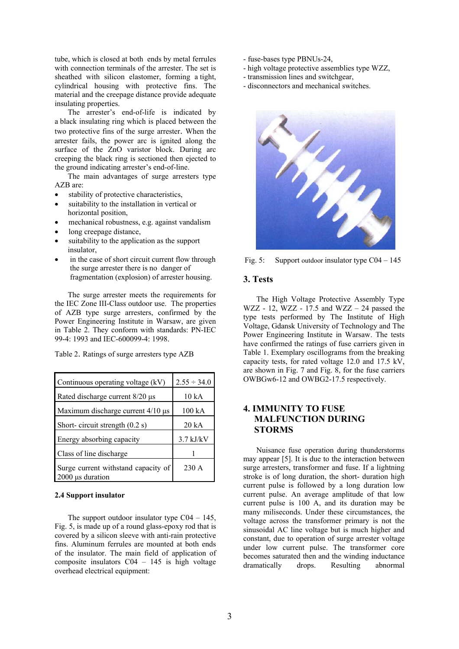tube, which is closed at both ends by metal ferrules with connection terminals of the arrester. The set is sheathed with silicon elastomer, forming a tight, cylindrical housing with protective fins. The material and the creepage distance provide adequate insulating properties.

The arrester's end-of-life is indicated by a black insulating ring which is placed between the two protective fins of the surge arrester. When the arrester fails, the power arc is ignited along the surface of the ZnO varistor block. During arc creeping the black ring is sectioned then ejected to the ground indicating arrester's end-of-line.

The main advantages of surge arresters type AZB are:

- stability of protective characteristics,
- suitability to the installation in vertical or horizontal position,
- mechanical robustness, e.g. against vandalism
- long creepage distance,
- suitability to the application as the support insulator,
- in the case of short circuit current flow through the surge arrester there is no danger of fragmentation (explosion) of arrester housing.

The surge arrester meets the requirements for the IEC Zone III-Class outdoor use. The properties of AZB type surge arresters, confirmed by the Power Engineering Institute in Warsaw, are given in Table 2. They conform with standards: PN-IEC 99-4: 1993 and IEC-600099-4: 1998.

Table 2. Ratings of surge arresters type AZB

| Continuous operating voltage (kV)                            | $2.55 \div 34.0$ |  |
|--------------------------------------------------------------|------------------|--|
| Rated discharge current 8/20 µs                              | 10 kA            |  |
| Maximum discharge current $4/10 \mu s$                       | 100 kA           |  |
| Short-circuit strength $(0.2 s)$                             | 20 kA            |  |
| Energy absorbing capacity                                    | $3.7$ kJ/kV      |  |
| Class of line discharge                                      |                  |  |
| Surge current withstand capacity of<br>$2000 \mu s$ duration | $230 \text{ A}$  |  |

### **2.4 Support insulator**

The support outdoor insulator type  $C<sub>04</sub> - 145$ , Fig. 5, is made up of a round glass-epoxy rod that is covered by a silicon sleeve with anti-rain protective fins. Aluminum ferrules are mounted at both ends of the insulator. The main field of application of composite insulators C04 – 145 is high voltage overhead electrical equipment:

- fuse-bases type PBNUs-24,
- high voltage protective assemblies type WZZ,
- transmission lines and switchgear,
- disconnectors and mechanical switches.



Fig. 5: Support outdoor insulator type C04 – 145

### **3. Tests**

The High Voltage Protective Assembly Type WZZ - 12, WZZ - 17.5 and WZZ – 24 passed the type tests performed by The Institute of High Voltage, Gdansk University of Technology and The Power Engineering Institute in Warsaw. The tests have confirmed the ratings of fuse carriers given in Table 1. Exemplary oscillograms from the breaking capacity tests, for rated voltage 12.0 and 17.5 kV, are shown in Fig. 7 and Fig. 8, for the fuse carriers OWBGw6-12 and OWBG2-17.5 respectively.

# **4. IMMUNITY TO FUSE MALFUNCTION DURING STORMS**

Nuisance fuse operation during thunderstorms may appear [5]. It is due to the interaction between surge arresters, transformer and fuse. If a lightning stroke is of long duration, the short- duration high current pulse is followed by a long duration low current pulse. An average amplitude of that low current pulse is 100 A, and its duration may be many miliseconds. Under these circumstances, the voltage across the transformer primary is not the sinusoidal AC line voltage but is much higher and constant, due to operation of surge arrester voltage under low current pulse. The transformer core becomes saturated then and the winding inductance dramatically drops. Resulting abnormal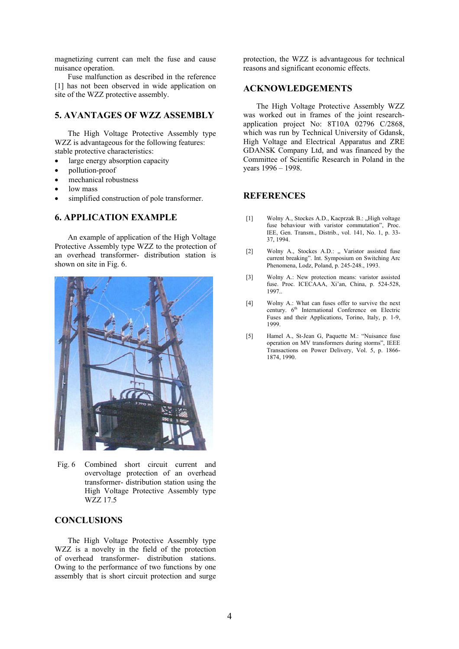magnetizing current can melt the fuse and cause nuisance operation.

Fuse malfunction as described in the reference [1] has not been observed in wide application on site of the WZZ protective assembly.

## **5. AVANTAGES OF WZZ ASSEMBLY**

The High Voltage Protective Assembly type WZZ is advantageous for the following features: stable protective characteristics:

- large energy absorption capacity
- pollution-proof
- mechanical robustness
- low mass
- simplified construction of pole transformer.

## **6. APPLICATION EXAMPLE**

An example of application of the High Voltage Protective Assembly type WZZ to the protection of an overhead transformer- distribution station is shown on site in Fig. 6.



Fig. 6 Combined short circuit current and overvoltage protection of an overhead transformer- distribution station using the High Voltage Protective Assembly type WZZ 17.5

# **CONCLUSIONS**

The High Voltage Protective Assembly type WZZ is a novelty in the field of the protection of overhead transformer- distribution stations. Owing to the performance of two functions by one assembly that is short circuit protection and surge

protection, the WZZ is advantageous for technical reasons and significant economic effects.

## **ACKNOWLEDGEMENTS**

The High Voltage Protective Assembly WZZ was worked out in frames of the joint researchapplication project No: 8T10A 02796 C/2868. which was run by Technical University of Gdansk, High Voltage and Electrical Apparatus and ZRE GDANSK Company Ltd, and was financed by the Committee of Scientific Research in Poland in the years 1996 – 1998.

## **REFERENCES**

- [1] Wolny A., Stockes A.D., Kacprzak B.: "High voltage fuse behaviour with varistor commutation", Proc. IEE, Gen. Transm., Distrib., vol. 141, No. 1, p. 33- 37, 1994.
- [2] Wolny A., Stockes A.D.: .. Varistor assisted fuse current breaking". Int. Symposium on Switching Arc Phenomena, Lodz, Poland, p. 245-248., 1993.
- [3] Wolny A.: New protection means: varistor assisted fuse. Proc. ICECAAA, Xi'an, China, p. 524-528, 1997..
- [4] Wolny A.: What can fuses offer to survive the next century. 6<sup>th</sup> International Conference on Electric Fuses and their Applications, Torino, Italy, p. 1-9, 1999.
- [5] Hamel A., St-Jean G, Paquette M.: "Nuisance fuse operation on MV transformers during storms", IEEE Transactions on Power Delivery, Vol. 5, p. 1866- 1874, 1990.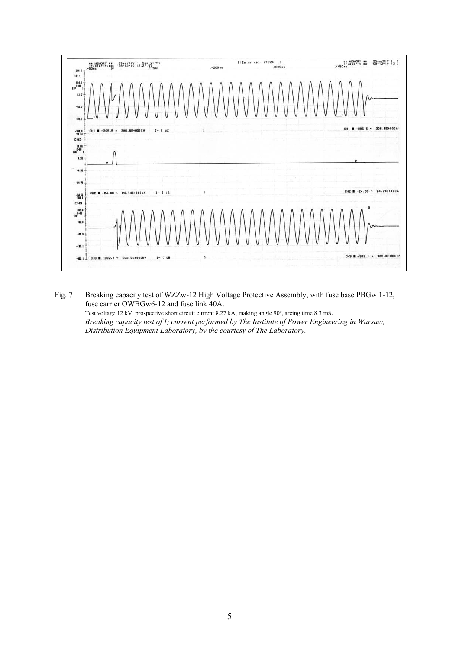

Fig. 7 Breaking capacity test of WZZw-12 High Voltage Protective Assembly, with fuse base PBGw 1-12, fuse carrier OWBGw6-12 and fuse link 40A.

Test voltage 12 kV, prospective short circuit current 8.27 kA, making angle 90º, arcing time 8.3 ms. *Breaking capacity test of I1 current performed by The Institute of Power Engineering in Warsaw, Distribution Equipment Laboratory, by the courtesy of The Laboratory.*